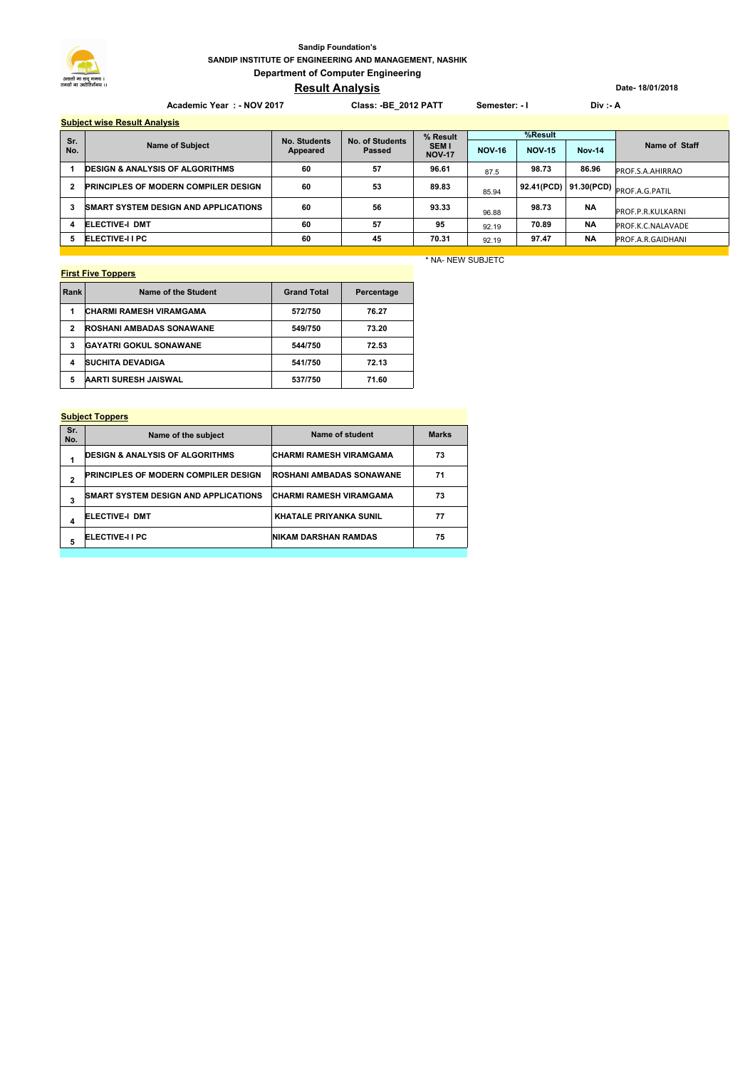## **SANDIP INSTITUTE OF ENGINEERING AND MANAGEMENT, NASHIK Department of Computer Engineering Sandip Foundation's**

# **Result Analysis**

Academic Year : - NOV 2017 **Class: -BE\_2012 PATT** Semester: - I Div :- A

# **Subject wise Result Analysis**

| <b>Supject Wise Result Alialysis</b> |                                             |                          |                           |                                           |               |               |               |                   |
|--------------------------------------|---------------------------------------------|--------------------------|---------------------------|-------------------------------------------|---------------|---------------|---------------|-------------------|
|                                      | <b>Name of Subject</b>                      | No. Students<br>Appeared | No. of Students<br>Passed | % Result<br><b>SEM I</b><br><b>NOV-17</b> | %Result       |               |               |                   |
| Sr.<br>No.                           |                                             |                          |                           |                                           | <b>NOV-16</b> | <b>NOV-15</b> | <b>Nov-14</b> | Name of Staff     |
|                                      | <b>DESIGN &amp; ANALYSIS OF ALGORITHMS</b>  | 60                       | 57                        | 96.61                                     | 87.5          | 98.73         | 86.96         | PROF.S.A.AHIRRAO  |
| 2                                    | <b>PRINCIPLES OF MODERN COMPILER DESIGN</b> | 60                       | 53                        | 89.83                                     | 85.94         | 92.41(PCD)    |               |                   |
| 3                                    | <b>SMART SYSTEM DESIGN AND APPLICATIONS</b> | 60                       | 56                        | 93.33                                     | 96.88         | 98.73         | <b>NA</b>     | PROF.P.R.KULKARNI |
|                                      | <b>ELECTIVE-I DMT</b>                       | 60                       | 57                        | 95                                        | 92.19         | 70.89         | <b>NA</b>     | PROF.K.C.NALAVADE |
| 5                                    | <b>ELECTIVE-I I PC</b>                      | 60                       | 45                        | 70.31                                     | 92.19         | 97.47         | <b>NA</b>     | PROF.A.R.GAIDHANI |

### **First Five Toppers**

| Rank | Name of the Student             | <b>Grand Total</b> | Percentage |
|------|---------------------------------|--------------------|------------|
|      | <b>CHARMI RAMESH VIRAMGAMA</b>  | 572/750            | 76.27      |
| 2    | <b>ROSHANI AMBADAS SONAWANE</b> | 549/750            | 73.20      |
| 3    | <b>GAYATRI GOKUL SONAWANE</b>   | 544/750            | 72.53      |
| 4    | <b>SUCHITA DEVADIGA</b>         | 541/750            | 72.13      |
| 5    | <b>AARTI SURESH JAISWAL</b>     | 537/750            | 71.60      |

### **Subject Toppers**

| Sr.<br>No. | Name of the subject                         | Name of student                 | <b>Marks</b> |
|------------|---------------------------------------------|---------------------------------|--------------|
|            | <b>DESIGN &amp; ANALYSIS OF ALGORITHMS</b>  | <b>CHARMI RAMESH VIRAMGAMA</b>  | 73           |
| 2          | <b>PRINCIPLES OF MODERN COMPILER DESIGN</b> | <b>ROSHANI AMBADAS SONAWANE</b> | 71           |
| 3          | <b>SMART SYSTEM DESIGN AND APPLICATIONS</b> | <b>CHARMI RAMESH VIRAMGAMA</b>  | 73           |
| 4          | <b>ELECTIVE-I DMT</b>                       | <b>KHATALE PRIYANKA SUNIL</b>   | 77           |
| 5          | <b>ELECTIVE-I I PC</b>                      | <b>NIKAM DARSHAN RAMDAS</b>     | 75           |
|            |                                             |                                 |              |

## \* NA- NEW SUBJETC

**Date- 18/01/2018**